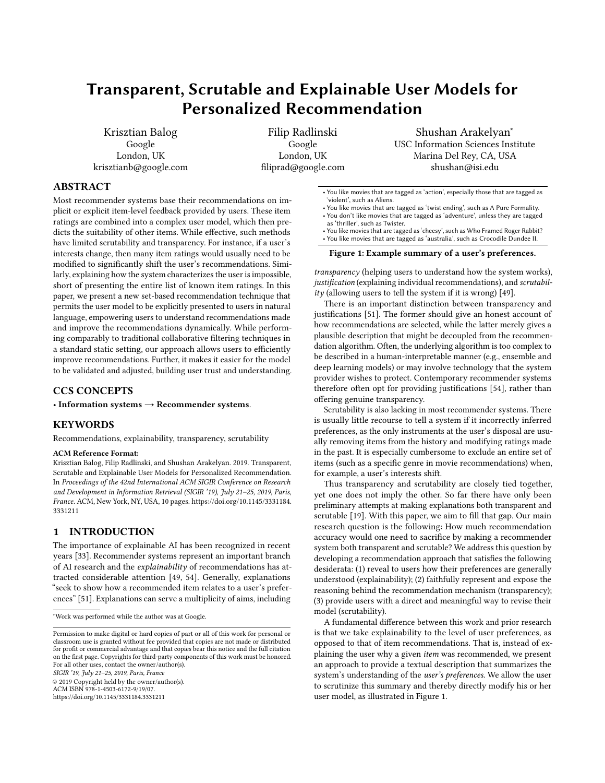# Transparent, Scrutable and Explainable User Models for Personalized Recommendation

Krisztian Balog Google London, UK krisztianb@google.com

Filip Radlinski Google London, UK filiprad@google.com

Shushan Arakelyan<sup>∗</sup> USC Information Sciences Institute Marina Del Rey, CA, USA shushan@isi.edu

# ABSTRACT

Most recommender systems base their recommendations on implicit or explicit item-level feedback provided by users. These item ratings are combined into a complex user model, which then predicts the suitability of other items. While effective, such methods have limited scrutability and transparency. For instance, if a user's interests change, then many item ratings would usually need to be modified to significantly shift the user's recommendations. Similarly, explaining how the system characterizes the user is impossible, short of presenting the entire list of known item ratings. In this paper, we present a new set-based recommendation technique that permits the user model to be explicitly presented to users in natural language, empowering users to understand recommendations made and improve the recommendations dynamically. While performing comparably to traditional collaborative filtering techniques in a standard static setting, our approach allows users to efficiently improve recommendations. Further, it makes it easier for the model to be validated and adjusted, building user trust and understanding.

# CCS CONCEPTS

• Information systems  $\rightarrow$  Recommender systems.

# KEYWORDS

Recommendations, explainability, transparency, scrutability

#### ACM Reference Format:

Krisztian Balog, Filip Radlinski, and Shushan Arakelyan. 2019. Transparent, Scrutable and Explainable User Models for Personalized Recommendation. In Proceedings of the 42nd International ACM SIGIR Conference on Research and Development in Information Retrieval (SIGIR '19), July 21–25, 2019, Paris, France. ACM, New York, NY, USA, [10](#page-9-0) pages. [https://doi.org/10.1145/3331184.](https://doi.org/10.1145/3331184.3331211) [3331211](https://doi.org/10.1145/3331184.3331211)

# 1 INTRODUCTION

The importance of explainable AI has been recognized in recent years [\[33\]](#page-9-1). Recommender systems represent an important branch of AI research and the explainability of recommendations has attracted considerable attention [\[49,](#page-9-2) [54\]](#page-9-3). Generally, explanations "seek to show how a recommended item relates to a user's preferences" [\[51\]](#page-9-4). Explanations can serve a multiplicity of aims, including

SIGIR '19, July 21–25, 2019, Paris, France

© 2019 Copyright held by the owner/author(s).

ACM ISBN 978-1-4503-6172-9/19/07.

<https://doi.org/10.1145/3331184.3331211>

<span id="page-0-0"></span>• You like movies that are tagged as 'action', especially those that are tagged as 'violent', such as Aliens.

- You like movies that are tagged as 'twist ending', such as A Pure Formality. • You don't like movies that are tagged as 'adventure', unless they are tagged
- as 'thriller', such as Twister.
- You like movies that are tagged as 'cheesy', such as Who Framed Roger Rabbit? • You like movies that are tagged as 'australia', such as Crocodile Dundee II.

#### Figure 1: Example summary of a user's preferences.

transparency (helping users to understand how the system works), justification (explaining individual recommendations), and scrutabil-ity (allowing users to tell the system if it is wrong) [\[49\]](#page-9-2).

There is an important distinction between transparency and justifications [\[51\]](#page-9-4). The former should give an honest account of how recommendations are selected, while the latter merely gives a plausible description that might be decoupled from the recommendation algorithm. Often, the underlying algorithm is too complex to be described in a human-interpretable manner (e.g., ensemble and deep learning models) or may involve technology that the system provider wishes to protect. Contemporary recommender systems therefore often opt for providing justifications [\[54\]](#page-9-3), rather than offering genuine transparency.

Scrutability is also lacking in most recommender systems. There is usually little recourse to tell a system if it incorrectly inferred preferences, as the only instruments at the user's disposal are usually removing items from the history and modifying ratings made in the past. It is especially cumbersome to exclude an entire set of items (such as a specific genre in movie recommendations) when, for example, a user's interests shift.

Thus transparency and scrutability are closely tied together, yet one does not imply the other. So far there have only been preliminary attempts at making explanations both transparent and scrutable [\[19\]](#page-9-5). With this paper, we aim to fill that gap. Our main research question is the following: How much recommendation accuracy would one need to sacrifice by making a recommender system both transparent and scrutable? We address this question by developing a recommendation approach that satisfies the following desiderata: (1) reveal to users how their preferences are generally understood (explainability); (2) faithfully represent and expose the reasoning behind the recommendation mechanism (transparency); (3) provide users with a direct and meaningful way to revise their model (scrutability).

A fundamental difference between this work and prior research is that we take explainability to the level of user preferences, as opposed to that of item recommendations. That is, instead of explaining the user why a given item was recommended, we present an approach to provide a textual description that summarizes the system's understanding of the user's preferences. We allow the user to scrutinize this summary and thereby directly modify his or her user model, as illustrated in Figure [1.](#page-0-0)

<sup>∗</sup>Work was performed while the author was at Google.

Permission to make digital or hard copies of part or all of this work for personal or classroom use is granted without fee provided that copies are not made or distributed for profit or commercial advantage and that copies bear this notice and the full citation on the first page. Copyrights for third-party components of this work must be honored. For all other uses, contact the owner/author(s).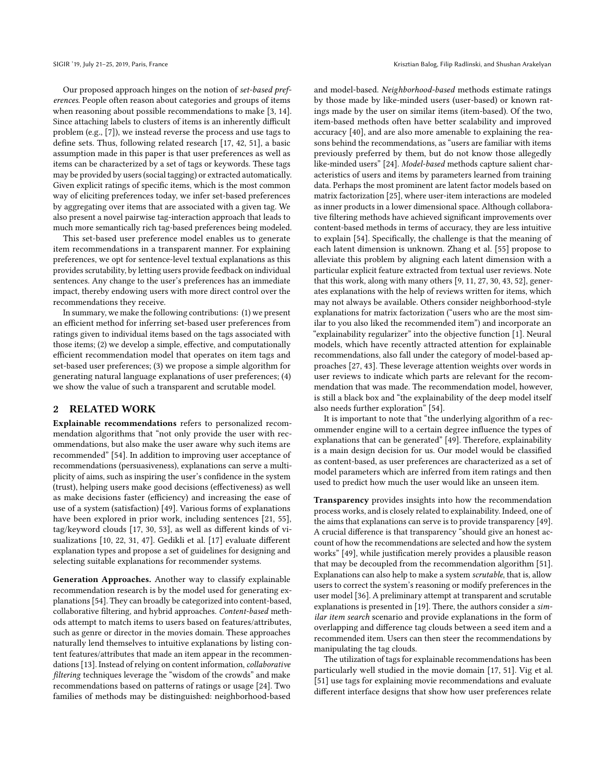Our proposed approach hinges on the notion of set-based preferences. People often reason about categories and groups of items when reasoning about possible recommendations to make [\[3,](#page-9-6) [14\]](#page-9-7). Since attaching labels to clusters of items is an inherently difficult problem (e.g., [\[7\]](#page-9-8)), we instead reverse the process and use tags to define sets. Thus, following related research [\[17,](#page-9-9) [42,](#page-9-10) [51\]](#page-9-4), a basic assumption made in this paper is that user preferences as well as items can be characterized by a set of tags or keywords. These tags may be provided by users (social tagging) or extracted automatically. Given explicit ratings of specific items, which is the most common way of eliciting preferences today, we infer set-based preferences by aggregating over items that are associated with a given tag. We also present a novel pairwise tag-interaction approach that leads to much more semantically rich tag-based preferences being modeled.

This set-based user preference model enables us to generate item recommendations in a transparent manner. For explaining preferences, we opt for sentence-level textual explanations as this provides scrutability, by letting users provide feedback on individual sentences. Any change to the user's preferences has an immediate impact, thereby endowing users with more direct control over the recommendations they receive.

In summary, we make the following contributions: (1) we present an efficient method for inferring set-based user preferences from ratings given to individual items based on the tags associated with those items; (2) we develop a simple, effective, and computationally efficient recommendation model that operates on item tags and set-based user preferences; (3) we propose a simple algorithm for generating natural language explanations of user preferences; (4) we show the value of such a transparent and scrutable model.

## 2 RELATED WORK

Explainable recommendations refers to personalized recommendation algorithms that "not only provide the user with recommendations, but also make the user aware why such items are recommended" [\[54\]](#page-9-3). In addition to improving user acceptance of recommendations (persuasiveness), explanations can serve a multiplicity of aims, such as inspiring the user's confidence in the system (trust), helping users make good decisions (effectiveness) as well as make decisions faster (efficiency) and increasing the ease of use of a system (satisfaction) [\[49\]](#page-9-2). Various forms of explanations have been explored in prior work, including sentences [\[21,](#page-9-11) [55\]](#page-9-12), tag/keyword clouds [\[17,](#page-9-9) [30,](#page-9-13) [53\]](#page-9-14), as well as different kinds of visualizations [\[10,](#page-9-15) [22,](#page-9-16) [31,](#page-9-17) [47\]](#page-9-18). Gedikli et al. [\[17\]](#page-9-9) evaluate different explanation types and propose a set of guidelines for designing and selecting suitable explanations for recommender systems.

Generation Approaches. Another way to classify explainable recommendation research is by the model used for generating explanations [\[54\]](#page-9-3). They can broadly be categorized into content-based, collaborative filtering, and hybrid approaches. Content-based methods attempt to match items to users based on features/attributes, such as genre or director in the movies domain. These approaches naturally lend themselves to intuitive explanations by listing content features/attributes that made an item appear in the recommen-dations [\[13\]](#page-9-19). Instead of relying on content information, collaborative filtering techniques leverage the "wisdom of the crowds" and make recommendations based on patterns of ratings or usage [\[24\]](#page-9-20). Two families of methods may be distinguished: neighborhood-based

and model-based. Neighborhood-based methods estimate ratings by those made by like-minded users (user-based) or known ratings made by the user on similar items (item-based). Of the two, item-based methods often have better scalability and improved accuracy [\[40\]](#page-9-21), and are also more amenable to explaining the reasons behind the recommendations, as "users are familiar with items previously preferred by them, but do not know those allegedly like-minded users" [\[24\]](#page-9-20). Model-based methods capture salient characteristics of users and items by parameters learned from training data. Perhaps the most prominent are latent factor models based on matrix factorization [\[25\]](#page-9-22), where user-item interactions are modeled as inner products in a lower dimensional space. Although collaborative filtering methods have achieved significant improvements over content-based methods in terms of accuracy, they are less intuitive to explain [\[54\]](#page-9-3). Specifically, the challenge is that the meaning of each latent dimension is unknown. Zhang et al. [\[55\]](#page-9-12) propose to alleviate this problem by aligning each latent dimension with a particular explicit feature extracted from textual user reviews. Note that this work, along with many others [\[9,](#page-9-23) [11,](#page-9-24) [27,](#page-9-25) [30,](#page-9-13) [43,](#page-9-26) [52\]](#page-9-27), generates explanations with the help of reviews written for items, which may not always be available. Others consider neighborhood-style explanations for matrix factorization ("users who are the most similar to you also liked the recommended item") and incorporate an "explainability regularizer" into the objective function [\[1\]](#page-9-28). Neural models, which have recently attracted attention for explainable recommendations, also fall under the category of model-based approaches [\[27,](#page-9-25) [43\]](#page-9-26). These leverage attention weights over words in user reviews to indicate which parts are relevant for the recommendation that was made. The recommendation model, however, is still a black box and "the explainability of the deep model itself also needs further exploration" [\[54\]](#page-9-3).

It is important to note that "the underlying algorithm of a recommender engine will to a certain degree influence the types of explanations that can be generated" [\[49\]](#page-9-2). Therefore, explainability is a main design decision for us. Our model would be classified as content-based, as user preferences are characterized as a set of model parameters which are inferred from item ratings and then used to predict how much the user would like an unseen item.

Transparency provides insights into how the recommendation process works, and is closely related to explainability. Indeed, one of the aims that explanations can serve is to provide transparency [\[49\]](#page-9-2). A crucial difference is that transparency "should give an honest account of how the recommendations are selected and how the system works" [\[49\]](#page-9-2), while justification merely provides a plausible reason that may be decoupled from the recommendation algorithm [\[51\]](#page-9-4). Explanations can also help to make a system scrutable, that is, allow users to correct the system's reasoning or modify preferences in the user model [\[36\]](#page-9-29). A preliminary attempt at transparent and scrutable explanations is presented in [\[19\]](#page-9-5). There, the authors consider a similar item search scenario and provide explanations in the form of overlapping and difference tag clouds between a seed item and a recommended item. Users can then steer the recommendations by manipulating the tag clouds.

The utilization of tags for explainable recommendations has been particularly well studied in the movie domain [\[17,](#page-9-9) [51\]](#page-9-4). Vig et al. [\[51\]](#page-9-4) use tags for explaining movie recommendations and evaluate different interface designs that show how user preferences relate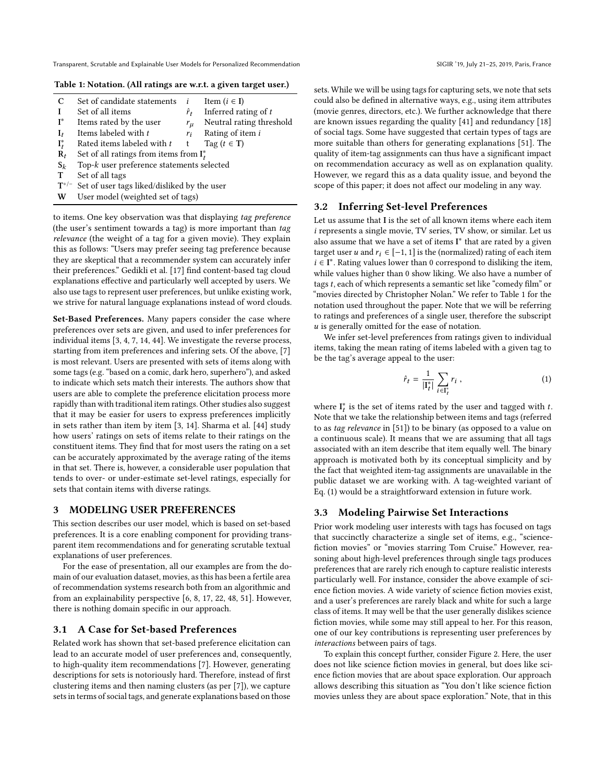#### <span id="page-2-0"></span>Table 1: Notation. (All ratings are w.r.t. a given target user.)

| C                | Set of candidate statements                 |             | Item $(i \in I)$         |  |  |
|------------------|---------------------------------------------|-------------|--------------------------|--|--|
|                  | Set of all items                            | $\hat{r}_t$ | Inferred rating of $t$   |  |  |
| $I^*$            | Items rated by the user                     | $r_{\mu}$   | Neutral rating threshold |  |  |
| $I_t$            | Items labeled with t                        | $r_i$       | Rating of item i         |  |  |
| $\mathbf{I}_t^*$ | Rated items labeled with t                  | t           | Tag $(t \in T)$          |  |  |
| $\mathbf{R}_t$   | Set of all ratings from items from $I_t^*$  |             |                          |  |  |
| $S_k$            | Top-k user preference statements selected   |             |                          |  |  |
| T                | Set of all tags                             |             |                          |  |  |
| $T^{+/-}$        | Set of user tags liked/disliked by the user |             |                          |  |  |
| W                | User model (weighted set of tags)           |             |                          |  |  |

to items. One key observation was that displaying tag preference (the user's sentiment towards a tag) is more important than tag relevance (the weight of a tag for a given movie). They explain this as follows: "Users may prefer seeing tag preference because they are skeptical that a recommender system can accurately infer their preferences." Gedikli et al. [\[17\]](#page-9-9) find content-based tag cloud explanations effective and particularly well accepted by users. We also use tags to represent user preferences, but unlike existing work, we strive for natural language explanations instead of word clouds.

Set-Based Preferences. Many papers consider the case where preferences over sets are given, and used to infer preferences for individual items [\[3,](#page-9-6) [4,](#page-9-30) [7,](#page-9-8) [14,](#page-9-7) [44\]](#page-9-31). We investigate the reverse process, starting from item preferences and infering sets. Of the above, [\[7\]](#page-9-8) is most relevant. Users are presented with sets of items along with some tags (e.g. "based on a comic, dark hero, superhero"), and asked to indicate which sets match their interests. The authors show that users are able to complete the preference elicitation process more rapidly than with traditional item ratings. Other studies also suggest that it may be easier for users to express preferences implicitly in sets rather than item by item [\[3,](#page-9-6) [14\]](#page-9-7). Sharma et al. [\[44\]](#page-9-31) study how users' ratings on sets of items relate to their ratings on the constituent items. They find that for most users the rating on a set can be accurately approximated by the average rating of the items in that set. There is, however, a considerable user population that tends to over- or under-estimate set-level ratings, especially for sets that contain items with diverse ratings.

# 3 MODELING USER PREFERENCES

This section describes our user model, which is based on set-based preferences. It is a core enabling component for providing transparent item recommendations and for generating scrutable textual explanations of user preferences.

For the ease of presentation, all our examples are from the domain of our evaluation dataset, movies, as this has been a fertile area of recommendation systems research both from an algorithmic and from an explainability perspective [\[6,](#page-9-32) [8,](#page-9-33) [17,](#page-9-9) [22,](#page-9-16) [48,](#page-9-34) [51\]](#page-9-4). However, there is nothing domain specific in our approach.

# 3.1 A Case for Set-based Preferences

Related work has shown that set-based preference elicitation can lead to an accurate model of user preferences and, consequently, to high-quality item recommendations [\[7\]](#page-9-8). However, generating descriptions for sets is notoriously hard. Therefore, instead of first clustering items and then naming clusters (as per [\[7\]](#page-9-8)), we capture sets in terms of social tags, and generate explanations based on those

sets. While we will be using tags for capturing sets, we note that sets could also be defined in alternative ways, e.g., using item attributes (movie genres, directors, etc.). We further acknowledge that there are known issues regarding the quality [\[41\]](#page-9-35) and redundancy [\[18\]](#page-9-36) of social tags. Some have suggested that certain types of tags are more suitable than others for generating explanations [\[51\]](#page-9-4). The quality of item-tag assignments can thus have a significant impact on recommendation accuracy as well as on explanation quality. However, we regard this as a data quality issue, and beyond the scope of this paper; it does not affect our modeling in any way.

# 3.2 Inferring Set-level Preferences

Let us assume that I is the set of all known items where each item i represents a single movie, TV series, TV show, or similar. Let us also assume that we have a set of items I\* that are rated by a given target user *u* and  $r_i$  ∈ [−1, 1] is the (normalized) rating of each item  $i \in I^*$ . Rating values lower than 0 correspond to disliking the item, while values higher than 0 show liking We also have a number of while values higher than 0 show liking. We also have a number of tags  $t$ , each of which represents a semantic set like "comedy film" or "movies directed by Christopher Nolan." We refer to Table [1](#page-2-0) for the notation used throughout the paper. Note that we will be referring to ratings and preferences of a single user, therefore the subscript u is generally omitted for the ease of notation.

We infer set-level preferences from ratings given to individual items, taking the mean rating of items labeled with a given tag to be the tag's average appeal to the user:

<span id="page-2-1"></span>
$$
\hat{r}_t = \frac{1}{|\mathbf{I}_t^*|} \sum_{i \in \mathbf{I}_t^*} r_i , \qquad (1)
$$

where  $I_t^*$  is the set of items rated by the user and tagged with t.<br>Note that we take the relationship between items and tags (referred Note that we take the relationship between items and tags (referred to as tag relevance in [\[51\]](#page-9-4)) to be binary (as opposed to a value on a continuous scale). It means that we are assuming that all tags associated with an item describe that item equally well. The binary approach is motivated both by its conceptual simplicity and by the fact that weighted item-tag assignments are unavailable in the public dataset we are working with. A tag-weighted variant of Eq. [\(1\)](#page-2-1) would be a straightforward extension in future work.

## 3.3 Modeling Pairwise Set Interactions

Prior work modeling user interests with tags has focused on tags that succinctly characterize a single set of items, e.g., "sciencefiction movies" or "movies starring Tom Cruise." However, reasoning about high-level preferences through single tags produces preferences that are rarely rich enough to capture realistic interests particularly well. For instance, consider the above example of science fiction movies. A wide variety of science fiction movies exist, and a user's preferences are rarely black and white for such a large class of items. It may well be that the user generally dislikes science fiction movies, while some may still appeal to her. For this reason, one of our key contributions is representing user preferences by interactions between pairs of tags.

To explain this concept further, consider Figure [2.](#page-3-0) Here, the user does not like science fiction movies in general, but does like science fiction movies that are about space exploration. Our approach allows describing this situation as "You don't like science fiction movies unless they are about space exploration." Note, that in this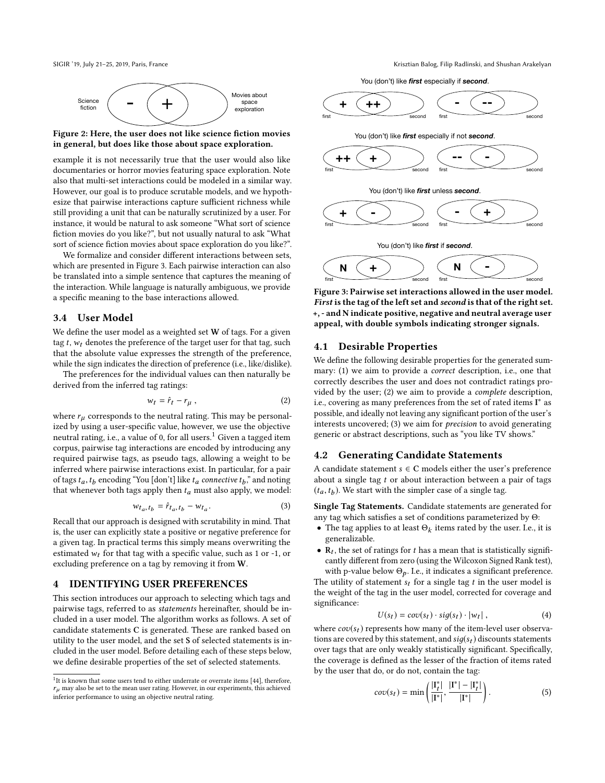<span id="page-3-0"></span>



Figure 2: Here, the user does not like science fiction movies in general, but does like those about space exploration.

example it is not necessarily true that the user would also like documentaries or horror movies featuring space exploration. Note also that multi-set interactions could be modeled in a similar way. However, our goal is to produce scrutable models, and we hypothesize that pairwise interactions capture sufficient richness while still providing a unit that can be naturally scrutinized by a user. For instance, it would be natural to ask someone "What sort of science fiction movies do you like?", but not usually natural to ask "What sort of science fiction movies about space exploration do you like?".

We formalize and consider different interactions between sets, which are presented in Figure [3.](#page-3-1) Each pairwise interaction can also be translated into a simple sentence that captures the meaning of the interaction. While language is naturally ambiguous, we provide a specific meaning to the base interactions allowed.

## <span id="page-3-3"></span>3.4 User Model

We define the user model as a weighted set  $W$  of tags. For a given tag  $t$ ,  $w_t$  denotes the preference of the target user for that tag, such that the absolute value expresses the strength of the preference, while the sign indicates the direction of preference (i.e., like/dislike).

The preferences for the individual values can then naturally be derived from the inferred tag ratings:

$$
w_t = \hat{r}_t - r_\mu , \qquad (2)
$$

where  $r_{\mu}$  corresponds to the neutral rating. This may be personalized by using a user-specific value, however, we use the objective neutral rating, i.e., a value of 0, for all users.<sup>[1](#page-3-2)</sup> Given a tagged item corpus, pairwise tag interactions are encoded by introducing any required pairwise tags, as pseudo tags, allowing a weight to be inferred where pairwise interactions exist. In particular, for a pair of tags  $t_a$ ,  $t_b$  encoding "You [don't] like  $t_a$  connective  $t_b$ ," and noting that whenever both tags apply then  $t_a$  must also apply we model that whenever both tags apply then  $t_a$  must also apply, we model:

<span id="page-3-4"></span>
$$
w_{t_a, t_b} = \hat{r}_{t_a, t_b} - w_{t_a}.
$$
\n<sup>(3)</sup>

Recall that our approach is designed with scrutability in mind. That is, the user can explicitly state a positive or negative preference for a given tag. In practical terms this simply means overwriting the estimated  $w_t$  for that tag with a specific value, such as 1 or -1, or excluding preference on a tag by removing it from W.

## 4 IDENTIFYING USER PREFERENCES

This section introduces our approach to selecting which tags and pairwise tags, referred to as statements hereinafter, should be included in a user model. The algorithm works as follows. A set of candidate statements C is generated. These are ranked based on utility to the user model, and the set S of selected statements is included in the user model. Before detailing each of these steps below, we define desirable properties of the set of selected statements.

SIGIR '19, July 21–25, 2019, Paris, France Camera Krisztian Balog, Filip Radlinski, and Shushan Arakelyan



<span id="page-3-1"></span>

Figure 3: Pairwise set interactions allowed in the user model. First is the tag of the left set and second is that of the right set. +, - and N indicate positive, negative and neutral average user appeal, with double symbols indicating stronger signals.

# <span id="page-3-5"></span>4.1 Desirable Properties

We define the following desirable properties for the generated summary: (1) we aim to provide a correct description, i.e., one that correctly describes the user and does not contradict ratings provided by the user; (2) we aim to provide a complete description, i.e., covering as many preferences from the set of rated items I<sup>\*</sup> as possible, and ideally not leaving any significant portion of the user's interests uncovered; (3) we aim for precision to avoid generating generic or abstract descriptions, such as "you like TV shows."

# 4.2 Generating Candidate Statements

A candidate statement  $s \in C$  models either the user's preference about a single tag  $t$  or about interaction between a pair of tags  $(t_a, t_b)$ . We start with the simpler case of a single tag.

Single Tag Statements. Candidate statements are generated for any tag which satisfies a set of conditions parameterized by Θ:

- The tag applies to at least  $\Theta_k$  items rated by the user. I.e., it is generalizable generalizable.
- $\mathbf{R}_t$ , the set of ratings for t has a mean that is statistically significantly different from zero (using the Wilcoxon Signed Bank test) cantly different from zero (using the Wilcoxon Signed Rank test), with p-value below  $\Theta_p$ . I.e., it indicates a significant preference.

The utility of statement  $s_t$  for a single tag t in the user model is the weight of the tag in the user model, corrected for coverage and significance:

$$
U(s_t) = cov(s_t) \cdot sig(s_t) \cdot |w_t|,
$$
\n(4)

where  $cov(s_t)$  represents how many of the item-level user observa-<br>tions are covered by this statement, and  $sig(s_t)$  discounts statements tions are covered by this statement, and  $sig(s_t)$  discounts statements over tags that are only weakly statistically significant. Specifically, the coverage is defined as the lesser of the fraction of items rated by the user that do, or do not, contain the tag:

$$
cov(s_t) = \min\left(\frac{|\mathbf{I}_t^*|}{|\mathbf{I}^*|}, \frac{|\mathbf{I}^*| - |\mathbf{I}_t^*|}{|\mathbf{I}^*|}\right). \tag{5}
$$

<span id="page-3-2"></span> $1$ It is known that some users tend to either underrate or overrate items [\[44\]](#page-9-31), therefore,  $r<sub>u</sub>$  may also be set to the mean user rating. However, in our experiments, this achieved inferior performance to using an objective neutral rating.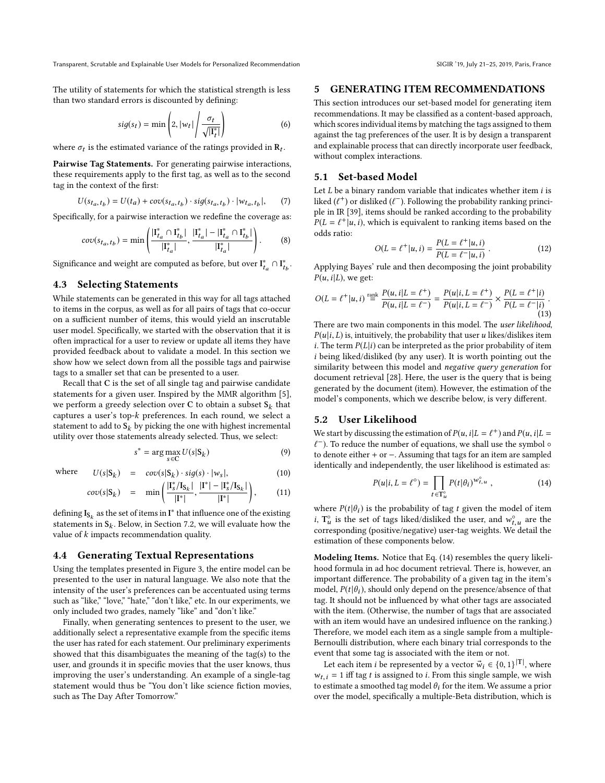The utility of statements for which the statistical strength is less than two standard errors is discounted by defining:

$$
sig(s_t) = \min\left(2, |w_t| \middle/ \frac{\sigma_t}{\sqrt{|\mathbf{I}_t^*|}}\right) \tag{6}
$$

where  $\sigma_t$  is the estimated variance of the ratings provided in  $\mathbf{R}_t$ .

Pairwise Tag Statements. For generating pairwise interactions, these requirements apply to the first tag, as well as to the second tag in the context of the first:

$$
U(s_{t_a, t_b}) = U(t_a) + cov(s_{t_a, t_b}) \cdot sig(s_{t_a, t_b}) \cdot |w_{t_a, t_b}|,
$$
 (7)

Specifically, for a pairwise interaction we redefine the coverage as:

$$
cov(s_{t_a, t_b}) = \min\left(\frac{|\mathbf{I}_{t_a}^* \cap \mathbf{I}_{t_b}^*|}{|\mathbf{I}_{t_a}^*|}, \frac{|\mathbf{I}_{t_a}^*| - |\mathbf{I}_{t_a}^* \cap \mathbf{I}_{t_b}^*|}{|\mathbf{I}_{t_a}^*|}\right). \tag{8}
$$

Significance and weight are computed as before, but over  $I_{t_a}^* \cap I_{t_b}^*$ . ta  $\ddot{\phantom{0}}$ 

## 4.3 Selecting Statements

While statements can be generated in this way for all tags attached to items in the corpus, as well as for all pairs of tags that co-occur on a sufficient number of items, this would yield an inscrutable user model. Specifically, we started with the observation that it is often impractical for a user to review or update all items they have provided feedback about to validate a model. In this section we show how we select down from all the possible tags and pairwise tags to a smaller set that can be presented to a user.

Recall that C is the set of all single tag and pairwise candidate statements for a given user. Inspired by the MMR algorithm [\[5\]](#page-9-37), we perform a greedy selection over C to obtain a subset  $S_k$  that<br>captures a user's top-k preferences. In each round, we select a captures a user's top-k preferences. In each round, we select a statement to add to  $S_k$  by picking the one with highest incremental utility over those statements already selected. Thus, we select:

<span id="page-4-2"></span>
$$
s^* = \arg\max_{s \in C} U(s|S_k)
$$
 (9)

where  $U(s|S_k) = cov(s|S_k) \cdot sig(s) \cdot |w_s|,$  (10)

$$
cov(s|\mathbf{S}_k) = \min\left(\frac{|\mathbf{I}_s^*/\mathbf{I}_{\mathbf{S}_k}|}{|\mathbf{I}^*|}, \frac{|\mathbf{I}^*| - |\mathbf{I}_s^*/\mathbf{I}_{\mathbf{S}_k}|}{|\mathbf{I}^*|}\right),\tag{11}
$$

defining  $I_{S_k}$  as the set of items in  $I^*$  that influence one of the existing<br>statements in  $S_k$ . Below, in Section 7.2, we will evolved how the statements in  $S_k$ . Below, in Section [7.2,](#page-8-0) we will evaluate how the value of k impacts recommendation quality value of k impacts recommendation quality.

#### 4.4 Generating Textual Representations

Using the templates presented in Figure [3,](#page-3-1) the entire model can be presented to the user in natural language. We also note that the intensity of the user's preferences can be accentuated using terms such as "like," "love," "hate," "don't like," etc. In our experiments, we only included two grades, namely "like" and "don't like."

Finally, when generating sentences to present to the user, we additionally select a representative example from the specific items the user has rated for each statement. Our preliminary experiments showed that this disambiguates the meaning of the tag(s) to the user, and grounds it in specific movies that the user knows, thus improving the user's understanding. An example of a single-tag statement would thus be "You don't like science fiction movies, such as The Day After Tomorrow."

#### 5 GENERATING ITEM RECOMMENDATIONS

This section introduces our set-based model for generating item recommendations. It may be classified as a content-based approach, which scores individual items by matching the tags assigned to them against the tag preferences of the user. It is by design a transparent and explainable process that can directly incorporate user feedback, without complex interactions.

## 5.1 Set-based Model

Let  $L$  be a binary random variable that indicates whether item  $i$  is liked ( $\ell^+$ ) or disliked ( $\ell^-$ ). Following the probability ranking princi-<br>ple in IR [39], items should be ranked according to the probability ple in IR [\[39\]](#page-9-38), items should be ranked according to the probability  $P(L = \ell^+ | u, i)$ , which is equivalent to ranking items based on the odds ratio: odds ratio:

$$
O(L = \ell^+ | u, i) = \frac{P(L = \ell^+ | u, i)}{P(L = \ell^- | u, i)}.
$$
 (12)

 $O(L - t^{-1} |u, t) - P(L = \ell^{-1} |u, t)$ Applying Bayes' rule and then decomposing the joint probability  $P(u, i|L)$ , we get:

<span id="page-4-1"></span>
$$
O(L = \ell^+ | u, i) \stackrel{\text{rank}}{=} \frac{P(u, i | L = \ell^+)}{P(u, i | L = \ell^-)} = \frac{P(u | i, L = \ell^+)}{P(u | i, L = \ell^-)} \times \frac{P(L = \ell^+ | i)}{P(L = \ell^- | i)}.
$$
\n(13)

There are two main components in this model. The user likelihood,  $P(u|i, L)$  is, intuitively, the probability that user u likes/dislikes item i. The term  $P(L|i)$  can be interpreted as the prior probability of item i being liked/disliked (by any user). It is worth pointing out the similarity between this model and negative query generation for document retrieval [\[28\]](#page-9-39). Here, the user is the query that is being generated by the document (item). However, the estimation of the model's components, which we describe below, is very different.

## 5.2 User Likelihood

We start by discussing the estimation of  $P(u, i|L = \ell^+)$  and  $P(u, i|L = \ell^-)$ . To reduce the number of equations, we shall use the symbol of ℓ to denote either + or −. Assuming that tags for an item are sampled  $\ell^-$ ). To reduce the number of equations, we shall use the symbol  $\circ$ identically and independently, the user likelihood is estimated as:

<span id="page-4-0"></span>
$$
P(u|i, L = \ell^{\circ}) = \prod_{t \in \mathbf{T}_{u}^{\circ}} P(t|\theta_i)^{w_{t,u}^{\circ}}, \qquad (14)
$$

where  $P(t|\theta_i)$  is the probability of tag t given the model of item *i*,  $T_u^o$  is the set of tags liked/disliked the user, and  $w_{t,u}^o$  are the corresponding (positive) user the weights We detail the corresponding (positive/negative) user-tag weights. We detail the estimation of these components below.

Modeling Items. Notice that Eq. [\(14\)](#page-4-0) resembles the query likelihood formula in ad hoc document retrieval. There is, however, an important difference. The probability of a given tag in the item's model,  $P(t|\theta_i)$ , should only depend on the presence/absence of that tag. It should not be influenced by what other tags are associated with the item. (Otherwise, the number of tags that are associated with an item would have an undesired influence on the ranking.) Therefore, we model each item as a single sample from a multiple-Bernoulli distribution, where each binary trial corresponds to the event that some tag is associated with the item or not.

Let each item *i* be represented by a vector  $\vec{w}_i \in \{0, 1\}^{|T|}$ , where  $\cdot$  = 1 iff tag *t* is assigned to *i*. From this single sample, we wish  $w_{t,i} = 1$  iff tag t is assigned to i. From this single sample, we wish to estimate a smoothed tag model  $\theta_i$  for the item. We assume a prior over the model, specifically a multiple-Beta distribution, which is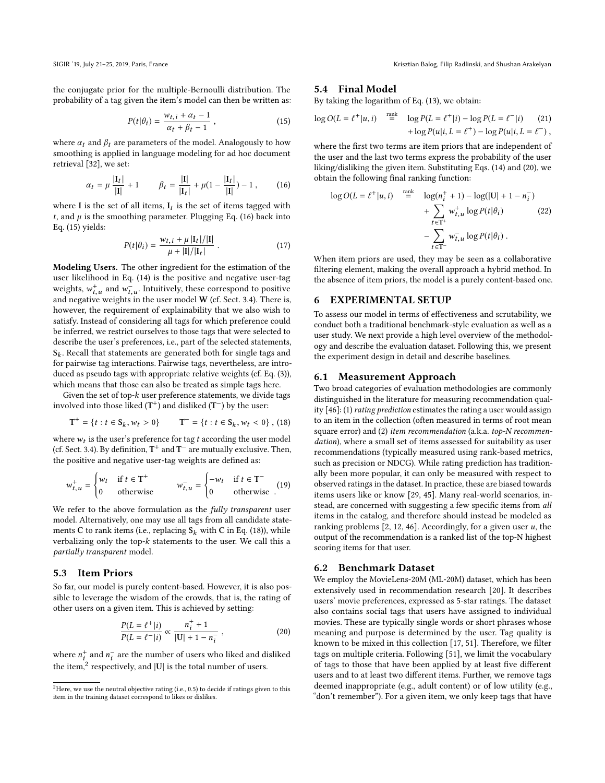the conjugate prior for the multiple-Bernoulli distribution. The probability of a tag given the item's model can then be written as:

<span id="page-5-1"></span>
$$
P(t|\theta_i) = \frac{w_{t,i} + \alpha_t - 1}{\alpha_t + \beta_t - 1},
$$
\n(15)

where  $\alpha_t$  and  $\beta_t$  are parameters of the model. Analogously to how smoothing is applied in language modeling for ad hoc document retrieval [\[32\]](#page-9-40), we set:

<span id="page-5-0"></span>
$$
\alpha_t = \mu \frac{|\mathbf{I}_t|}{|\mathbf{I}|} + 1 \qquad \beta_t = \frac{|\mathbf{I}|}{|\mathbf{I}_t|} + \mu(1 - \frac{|\mathbf{I}_t|}{|\mathbf{I}|}) - 1, \qquad (16)
$$

where I is the set of all items,  $I_t$  is the set of items tagged with  $t$  and  $u$  is the smoothing parameter Plugging Eq. (16) back into t, and  $\mu$  is the smoothing parameter. Plugging Eq. [\(16\)](#page-5-0) back into Eq. [\(15\)](#page-5-1) yields:

$$
P(t|\theta_i) = \frac{w_{t,i} + \mu |I_t|/|I|}{\mu + |I|/|I_t|} \,. \tag{17}
$$

Modeling Users. The other ingredient for the estimation of the user likelihood in Eq. [\(14\)](#page-4-0) is the positive and negative user-tag weights,  $w_{t,u}^+$  and  $w_{t,u}^-$ . Intuitively, these correspond to positive<br>and positive weights in the user model W (of Sect. 3.4). There is and negative weights in the user model  $W$  (cf. Sect. [3.4\)](#page-3-3). There is, however, the requirement of explainability that we also wish to satisfy. Instead of considering all tags for which preference could be inferred, we restrict ourselves to those tags that were selected to describe the user's preferences, i.e., part of the selected statements,  $S_k$ . Recall that statements are generated both for single tags and for pairwise tag introduced for pairwise tags are introduced introduced that for pairwise tag interactions. Pairwise tags, nevertheless, are introduced as pseudo tags with appropriate relative weights (cf. Eq. [\(3\)](#page-3-4)), which means that those can also be treated as simple tags here.

Given the set of top- $k$  user preference statements, we divide tags involved into those liked  $(T^+)$  and disliked  $(T^-)$  by the user:

<span id="page-5-2"></span>
$$
T^{+} = \{t : t \in S_k, w_t > 0\} \qquad T^{-} = \{t : t \in S_k, w_t < 0\}, (18)
$$

where  $w_t$  is the user's preference for tag t according the user model<br>(cf. Sect. 3.4). By definition  $T^+$  and  $T^-$  are mutually exclusive. Then (cf. Sect. [3.4\)](#page-3-3). By definition,  $T^+$  and  $T^-$  are mutually exclusive. Then, the positive and negative user-tag weights are defined as:

$$
w_{t,u}^{+} = \begin{cases} w_t & \text{if } t \in T^+ \\ 0 & \text{otherwise} \end{cases} \qquad w_{t,u}^{-} = \begin{cases} -w_t & \text{if } t \in T^- \\ 0 & \text{otherwise} \end{cases} (19)
$$

We refer to the above formulation as the fully transparent user model. Alternatively, one may use all tags from all candidate statements C to rank items (i.e., replacing  $S_k$  with C in Eq. [\(18\)](#page-5-2)), while verbalizing only the top-k statements to the user. We call this a partially transparent model.

# 5.3 Item Priors

So far, our model is purely content-based. However, it is also possible to leverage the wisdom of the crowds, that is, the rating of other users on a given item. This is achieved by setting:

<span id="page-5-4"></span>
$$
\frac{P(L = \ell^+|i)}{P(L = \ell^-|i)} \propto \frac{n_i^+ + 1}{|U| + 1 - n_i^-},
$$
\n(20)

where  $n_i^+$  and  $n_i^-$  are the number of users who liked and disliked<br>the item <sup>2</sup> nomeatively, and [U] is the total number of users the item, $^2$  $^2$  respectively, and  $|U|$  is the total number of users.

#### 5.4 Final Model

By taking the logarithm of Eq. [\(13\)](#page-4-1), we obtain:

$$
\log O(L = \ell^+ | u, i) \stackrel{\text{rank}}{=} \log P(L = \ell^+ | i) - \log P(L = \ell^- | i) \tag{21} + \log P(u | i, L = \ell^+) - \log P(u | i, L = \ell^-),
$$

where the first two terms are item priors that are independent of the user and the last two terms express the probability of the user liking/disliking the given item. Substituting Eqs. [\(14\)](#page-4-0) and [\(20\)](#page-5-4), we obtain the following final ranking function:

$$
\log O(L = \ell^+ | u, i) \stackrel{\text{rank}}{=} \log(n_i^+ + 1) - \log(|U| + 1 - n_i^-)
$$

$$
+ \sum_{t \in \mathcal{T}^+} w_{t, u}^+ \log P(t | \theta_i)
$$
(22)
$$
- \sum_{t \in \mathcal{T}^-} w_{t, u}^- \log P(t | \theta_i) .
$$

t ∈T−<br>When item priors are used, they may be seen as a collaborative filtering element, making the overall approach a hybrid method. In the absence of item priors, the model is a purely content-based one.

# 6 EXPERIMENTAL SETUP

To assess our model in terms of effectiveness and scrutability, we conduct both a traditional benchmark-style evaluation as well as a user study. We next provide a high level overview of the methodology and describe the evaluation dataset. Following this, we present the experiment design in detail and describe baselines.

#### 6.1 Measurement Approach

Two broad categories of evaluation methodologies are commonly distinguished in the literature for measuring recommendation quality [\[46\]](#page-9-41): (1) rating prediction estimates the rating a user would assign to an item in the collection (often measured in terms of root mean square error) and (2) item recommendation (a.k.a. top-N recommendation), where a small set of items assessed for suitability as user recommendations (typically measured using rank-based metrics, such as precision or NDCG). While rating prediction has traditionally been more popular, it can only be measured with respect to observed ratings in the dataset. In practice, these are biased towards items users like or know [\[29,](#page-9-42) [45\]](#page-9-43). Many real-world scenarios, instead, are concerned with suggesting a few specific items from all items in the catalog, and therefore should instead be modeled as ranking problems  $[2, 12, 46]$  $[2, 12, 46]$  $[2, 12, 46]$  $[2, 12, 46]$  $[2, 12, 46]$ . Accordingly, for a given user  $u$ , the output of the recommendation is a ranked list of the top-N highest scoring items for that user.

#### 6.2 Benchmark Dataset

We employ the MovieLens-20M (ML-20M) dataset, which has been extensively used in recommendation research [\[20\]](#page-9-46). It describes users' movie preferences, expressed as 5-star ratings. The dataset also contains social tags that users have assigned to individual movies. These are typically single words or short phrases whose meaning and purpose is determined by the user. Tag quality is known to be mixed in this collection [\[17,](#page-9-9) [51\]](#page-9-4). Therefore, we filter tags on multiple criteria. Following [\[51\]](#page-9-4), we limit the vocabulary of tags to those that have been applied by at least five different users and to at least two different items. Further, we remove tags deemed inappropriate (e.g., adult content) or of low utility (e.g., "don't remember"). For a given item, we only keep tags that have

<span id="page-5-3"></span><sup>&</sup>lt;sup>2</sup>Here, we use the neutral objective rating (i.e., 0.5) to decide if ratings given to this item in the training dataset correspond to likes or dislikes.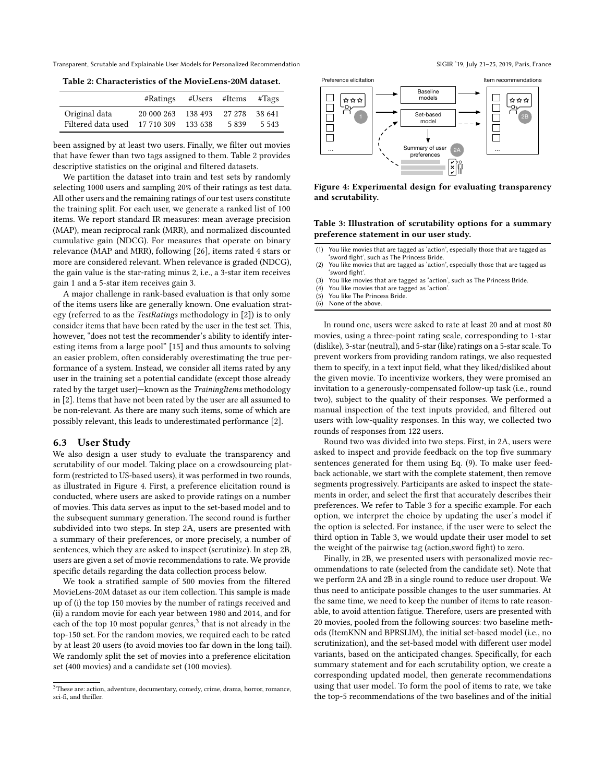<span id="page-6-0"></span>Table 2: Characteristics of the MovieLens-20M dataset.

|                    | #Ratings           |         | $#Users$ #Items #Tags |         |
|--------------------|--------------------|---------|-----------------------|---------|
| Original data      | 20 000 263         | 138 493 | 27 278                | 38 641  |
| Filtered data used | 17 710 309 133 638 |         | 5839                  | 5 5 4 3 |

been assigned by at least two users. Finally, we filter out movies that have fewer than two tags assigned to them. Table [2](#page-6-0) provides descriptive statistics on the original and filtered datasets.

We partition the dataset into train and test sets by randomly selecting 1000 users and sampling 20% of their ratings as test data. All other users and the remaining ratings of our test users constitute the training split. For each user, we generate a ranked list of 100 items. We report standard IR measures: mean average precision (MAP), mean reciprocal rank (MRR), and normalized discounted cumulative gain (NDCG). For measures that operate on binary relevance (MAP and MRR), following [\[26\]](#page-9-47), items rated 4 stars or more are considered relevant. When relevance is graded (NDCG), the gain value is the star-rating minus 2, i.e., a 3-star item receives gain 1 and a 5-star item receives gain 3.

A major challenge in rank-based evaluation is that only some of the items users like are generally known. One evaluation strategy (referred to as the TestRatings methodology in [\[2\]](#page-9-44)) is to only consider items that have been rated by the user in the test set. This, however, "does not test the recommender's ability to identify interesting items from a large pool" [\[15\]](#page-9-48) and thus amounts to solving an easier problem, often considerably overestimating the true performance of a system. Instead, we consider all items rated by any user in the training set a potential candidate (except those already rated by the target user)—known as the TrainingItems methodology in [\[2\]](#page-9-44). Items that have not been rated by the user are all assumed to be non-relevant. As there are many such items, some of which are possibly relevant, this leads to underestimated performance [\[2\]](#page-9-44).

#### 6.3 User Study

We also design a user study to evaluate the transparency and scrutability of our model. Taking place on a crowdsourcing platform (restricted to US-based users), it was performed in two rounds, as illustrated in Figure [4.](#page-6-1) First, a preference elicitation round is conducted, where users are asked to provide ratings on a number of movies. This data serves as input to the set-based model and to the subsequent summary generation. The second round is further subdivided into two steps. In step 2A, users are presented with a summary of their preferences, or more precisely, a number of sentences, which they are asked to inspect (scrutinize). In step 2B, users are given a set of movie recommendations to rate. We provide specific details regarding the data collection process below.

We took a stratified sample of 500 movies from the filtered MovieLens-20M dataset as our item collection. This sample is made up of (i) the top 150 movies by the number of ratings received and (ii) a random movie for each year between 1980 and 2014, and for each of the top 10 most popular genres,<sup>[3](#page-6-2)</sup> that is not already in the top-150 set. For the random movies, we required each to be rated by at least 20 users (to avoid movies too far down in the long tail). We randomly split the set of movies into a preference elicitation set (400 movies) and a candidate set (100 movies).

<span id="page-6-1"></span>

Figure 4: Experimental design for evaluating transparency and scrutability.

## <span id="page-6-3"></span>Table 3: Illustration of scrutability options for a summary preference statement in our user study.

- (1) You like movies that are tagged as 'action', especially those that are tagged as 'sword fight', such as The Princess Bride.
- (2) You like movies that are tagged as 'action', especially those that are tagged as 'sword fight'.
- (3) You like movies that are tagged as 'action', such as The Princess Bride.
- (4) You like movies that are tagged as 'action'.
- (5) You like The Princess Bride.
- (6) None of the above.

In round one, users were asked to rate at least 20 and at most 80 movies, using a three-point rating scale, corresponding to 1-star (dislike), 3-star (neutral), and 5-star (like) ratings on a 5-star scale. To prevent workers from providing random ratings, we also requested them to specify, in a text input field, what they liked/disliked about the given movie. To incentivize workers, they were promised an invitation to a generously-compensated follow-up task (i.e., round two), subject to the quality of their responses. We performed a manual inspection of the text inputs provided, and filtered out users with low-quality responses. In this way, we collected two rounds of responses from 122 users.

Round two was divided into two steps. First, in 2A, users were asked to inspect and provide feedback on the top five summary sentences generated for them using Eq. [\(9\)](#page-4-2). To make user feedback actionable, we start with the complete statement, then remove segments progressively. Participants are asked to inspect the statements in order, and select the first that accurately describes their preferences. We refer to Table [3](#page-6-3) for a specific example. For each option, we interpret the choice by updating the user's model if the option is selected. For instance, if the user were to select the third option in Table [3,](#page-6-3) we would update their user model to set the weight of the pairwise tag (action,sword fight) to zero.

Finally, in 2B, we presented users with personalized movie recommendations to rate (selected from the candidate set). Note that we perform 2A and 2B in a single round to reduce user dropout. We thus need to anticipate possible changes to the user summaries. At the same time, we need to keep the number of items to rate reasonable, to avoid attention fatigue. Therefore, users are presented with 20 movies, pooled from the following sources: two baseline methods (ItemKNN and BPRSLIM), the initial set-based model (i.e., no scrutinization), and the set-based model with different user model variants, based on the anticipated changes. Specifically, for each summary statement and for each scrutability option, we create a corresponding updated model, then generate recommendations using that user model. To form the pool of items to rate, we take the top-5 recommendations of the two baselines and of the initial

<span id="page-6-2"></span><sup>3</sup>These are: action, adventure, documentary, comedy, crime, drama, horror, romance, sci-fi, and thriller.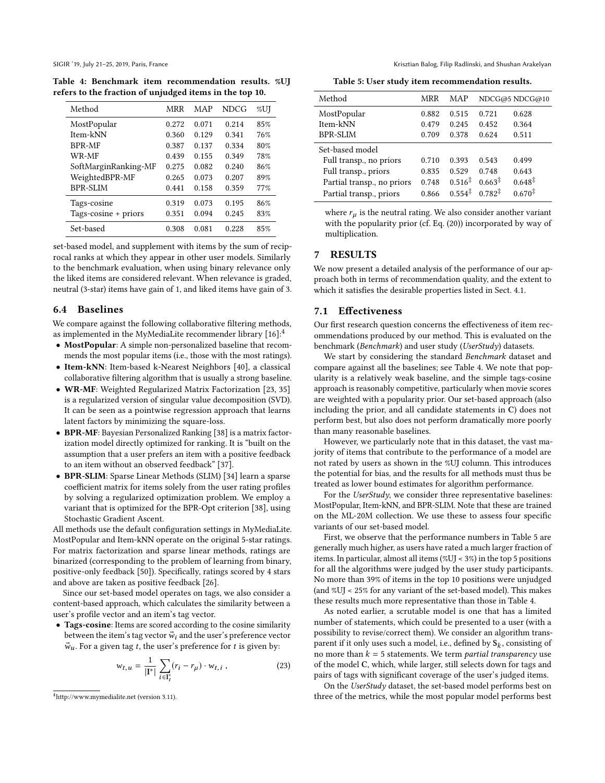<span id="page-7-1"></span>Table 4: Benchmark item recommendation results. %UJ refers to the fraction of unjudged items in the top 10.

| Method                 | MRR   | MAP   | <b>NDCG</b> | %UJ |
|------------------------|-------|-------|-------------|-----|
| MostPopular            | 0.272 | 0.071 | 0.214       | 85% |
| Item-kNN               | 0.360 | 0.129 | 0.341       | 76% |
| <b>BPR-MF</b>          | 0.387 | 0.137 | 0.334       | 80% |
| WR-MF                  | 0.439 | 0.155 | 0.349       | 78% |
| SoftMarginRanking-MF   | 0.275 | 0.082 | 0.240       | 86% |
| WeightedBPR-MF         | 0.265 | 0.073 | 0.207       | 89% |
| <b>BPR-SLIM</b>        | 0.441 | 0.158 | 0.359       | 77% |
| Tags-cosine            | 0.319 | 0.073 | 0.195       | 86% |
| Tags-cosine $+$ priors | 0.351 | 0.094 | 0.245       | 83% |
| Set-based              | 0.308 | 0.081 | 0.228       | 85% |

set-based model, and supplement with items by the sum of reciprocal ranks at which they appear in other user models. Similarly to the benchmark evaluation, when using binary relevance only the liked items are considered relevant. When relevance is graded, neutral (3-star) items have gain of 1, and liked items have gain of 3.

# 6.4 Baselines

We compare against the following collaborative filtering methods, as implemented in the MyMediaLite recommender library [\[16\]](#page-9-49):[4](#page-7-0)

- MostPopular: A simple non-personalized baseline that recommends the most popular items (i.e., those with the most ratings).
- Item-kNN: Item-based k-Nearest Neighbors [\[40\]](#page-9-21), a classical collaborative filtering algorithm that is usually a strong baseline.
- WR-MF: Weighted Regularized Matrix Factorization [\[23,](#page-9-50) [35\]](#page-9-51) is a regularized version of singular value decomposition (SVD). It can be seen as a pointwise regression approach that learns latent factors by minimizing the square-loss.
- BPR-MF: Bayesian Personalized Ranking [\[38\]](#page-9-52) is a matrix factorization model directly optimized for ranking. It is "built on the assumption that a user prefers an item with a positive feedback to an item without an observed feedback" [\[37\]](#page-9-53).
- BPR-SLIM: Sparse Linear Methods (SLIM) [\[34\]](#page-9-54) learn a sparse coefficient matrix for items solely from the user rating profiles by solving a regularized optimization problem. We employ a variant that is optimized for the BPR-Opt criterion [\[38\]](#page-9-52), using Stochastic Gradient Ascent.

All methods use the default configuration settings in MyMediaLite. MostPopular and Item-kNN operate on the original 5-star ratings. For matrix factorization and sparse linear methods, ratings are binarized (corresponding to the problem of learning from binary, positive-only feedback [\[50\]](#page-9-55)). Specifically, ratings scored by 4 stars and above are taken as positive feedback [\[26\]](#page-9-47).

Since our set-based model operates on tags, we also consider a content-based approach, which calculates the similarity between a user's profile vector and an item's tag vector.

• Tags-cosine: Items are scored according to the cosine similarity between the item's tag vector  $\vec{w}_i$  and the user's preference vector  $\vec{w}_u$ . For a given tag t, the user's preference for t is given by:

$$
w_{t,u} = \frac{1}{|\mathbf{I}^*|} \sum_{i \in \mathbf{I}^*_t} (r_i - r_{\mu}) \cdot w_{t,i} , \qquad (23)
$$

SIGIR '19, July 21–25, 2019, Paris, France Camera Krisztian Balog, Filip Radlinski, and Shushan Arakelyan

Table 5: User study item recommendation results.

<span id="page-7-2"></span>

| Method                     | MRR   | MAP                |                    | NDCG@5 NDCG@10     |  |  |
|----------------------------|-------|--------------------|--------------------|--------------------|--|--|
| MostPopular                | 0.882 | 0.515              | 0.721              | 0.628              |  |  |
| Item-kNN                   | 0.479 | 0.245              | 0.452              | 0.364              |  |  |
| <b>BPR-SLIM</b>            | 0.709 | 0.378              | 0.624              | 0.511              |  |  |
| Set-based model            |       |                    |                    |                    |  |  |
| Full transp., no priors    | 0.710 | 0.393              | 0.543              | 0.499              |  |  |
| Full transp., priors       | 0.835 | 0.529              | 0.748              | 0.643              |  |  |
| Partial transp., no priors | 0.748 | $0.516^{\ddagger}$ | $0.663^{\ddagger}$ | $0.648^{\ddagger}$ |  |  |
| Partial transp., priors    | 0.866 | $0.554^{\ddagger}$ | $0.782^{\ddagger}$ | $0.670^{\ddagger}$ |  |  |

where  $r_{\mu}$  is the neutral rating. We also consider another variant with the popularity prior (cf. Eq. [\(20\)](#page-5-4)) incorporated by way of multiplication.

# 7 RESULTS

We now present a detailed analysis of the performance of our approach both in terms of recommendation quality, and the extent to which it satisfies the desirable properties listed in Sect. [4.1.](#page-3-5)

## 7.1 Effectiveness

Our first research question concerns the effectiveness of item recommendations produced by our method. This is evaluated on the benchmark (Benchmark) and user study (UserStudy) datasets.

We start by considering the standard Benchmark dataset and compare against all the baselines; see Table [4.](#page-7-1) We note that popularity is a relatively weak baseline, and the simple tags-cosine approach is reasonably competitive, particularly when movie scores are weighted with a popularity prior. Our set-based approach (also including the prior, and all candidate statements in C) does not perform best, but also does not perform dramatically more poorly than many reasonable baselines.

However, we particularly note that in this dataset, the vast majority of items that contribute to the performance of a model are not rated by users as shown in the %UJ column. This introduces the potential for bias, and the results for all methods must thus be treated as lower bound estimates for algorithm performance.

For the UserStudy, we consider three representative baselines: MostPopular, Item-kNN, and BPR-SLIM. Note that these are trained on the ML-20M collection. We use these to assess four specific variants of our set-based model.

First, we observe that the performance numbers in Table [5](#page-7-2) are generally much higher, as users have rated a much larger fraction of items. In particular, almost all items (%UJ < 3%) in the top 5 positions for all the algorithms were judged by the user study participants. No more than 39% of items in the top 10 positions were unjudged (and %UJ < 25% for any variant of the set-based model). This makes these results much more representative than those in Table [4.](#page-7-1)

As noted earlier, a scrutable model is one that has a limited number of statements, which could be presented to a user (with a possibility to revise/correct them). We consider an algorithm transparent if it only uses such a model, i.e., defined by  $S_k$ , consisting of<br>no more than  $k = 5$  statements. We term partial transparency use no more than  $k = 5$  statements. We term *partial transparency* use of the model C, which, while larger, still selects down for tags and pairs of tags with significant coverage of the user's judged items.

On the UserStudy dataset, the set-based model performs best on three of the metrics, while the most popular model performs best

<span id="page-7-0"></span><sup>4</sup><http://www.mymedialite.net> (version 3.11).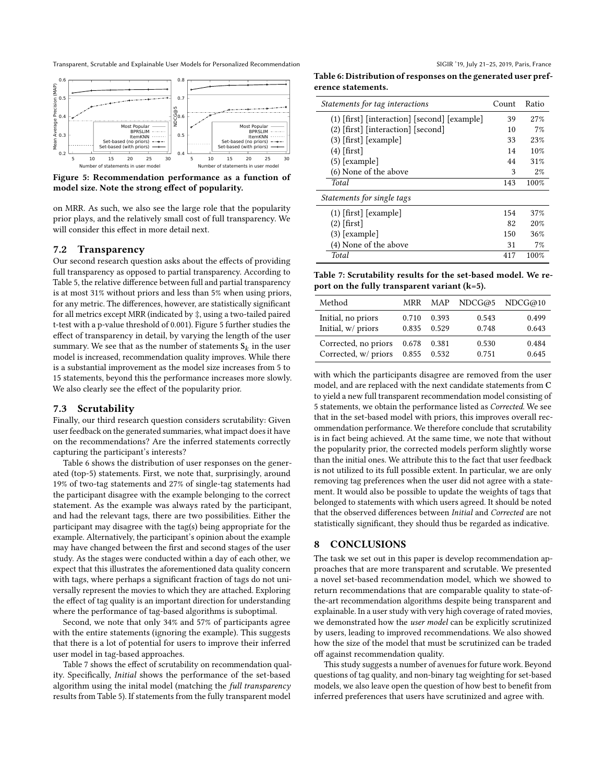<span id="page-8-1"></span>

Figure 5: Recommendation performance as a function of model size. Note the strong effect of popularity.

on MRR. As such, we also see the large role that the popularity prior plays, and the relatively small cost of full transparency. We will consider this effect in more detail next.

#### <span id="page-8-0"></span>7.2 Transparency

Our second research question asks about the effects of providing full transparency as opposed to partial transparency. According to Table [5,](#page-7-2) the relative difference between full and partial transparency is at most 31% without priors and less than 5% when using priors, for any metric. The differences, however, are statistically significant for all metrics except MRR (indicated by ‡, using a two-tailed paired t-test with a p-value threshold of 0.001). Figure [5](#page-8-1) further studies the effect of transparency in detail, by varying the length of the user summary. We see that as the number of statements  $S_k$  in the user model is increased recommendation quality improves. While there model is increased, recommendation quality improves. While there is a substantial improvement as the model size increases from 5 to 15 statements, beyond this the performance increases more slowly. We also clearly see the effect of the popularity prior.

#### 7.3 Scrutability

Finally, our third research question considers scrutability: Given user feedback on the generated summaries, what impact does it have on the recommendations? Are the inferred statements correctly capturing the participant's interests?

Table [6](#page-8-2) shows the distribution of user responses on the generated (top-5) statements. First, we note that, surprisingly, around 19% of two-tag statements and 27% of single-tag statements had the participant disagree with the example belonging to the correct statement. As the example was always rated by the participant, and had the relevant tags, there are two possibilities. Either the participant may disagree with the tag(s) being appropriate for the example. Alternatively, the participant's opinion about the example may have changed between the first and second stages of the user study. As the stages were conducted within a day of each other, we expect that this illustrates the aforementioned data quality concern with tags, where perhaps a significant fraction of tags do not universally represent the movies to which they are attached. Exploring the effect of tag quality is an important direction for understanding where the performance of tag-based algorithms is suboptimal.

Second, we note that only 34% and 57% of participants agree with the entire statements (ignoring the example). This suggests that there is a lot of potential for users to improve their inferred user model in tag-based approaches.

Table [7](#page-8-3) shows the effect of scrutability on recommendation quality. Specifically, Initial shows the performance of the set-based algorithm using the inital model (matching the full transparency results from Table [5\)](#page-7-2). If statements from the fully transparent model

<span id="page-8-2"></span>Table 6: Distribution of responses on the generated user preference statements.

| Statements for tag interactions                | Count | Ratio |  |  |  |
|------------------------------------------------|-------|-------|--|--|--|
| $(1)$ [first] [interaction] [second] [example] | 39    | 27%   |  |  |  |
| $(2)$ [first] [interaction] [second]           | 10    | 7%    |  |  |  |
| $(3)$ [first] [example]                        | 33    | 23%   |  |  |  |
| $(4)$ [first]                                  | 14    | 10%   |  |  |  |
| $(5)$ [example]                                | 44    | 31%   |  |  |  |
| (6) None of the above                          | 3     | 2%    |  |  |  |
| Total                                          | 143   | 100%  |  |  |  |
| Statements for single tags                     |       |       |  |  |  |
| $(1)$ [first] [example]                        | 154   | 37%   |  |  |  |
| $(2)$ [first]                                  | 82    | 20%   |  |  |  |
| $(3)$ [example]                                | 150   | 36%   |  |  |  |
| (4) None of the above                          | 31    | 7%    |  |  |  |
| <b>Total</b>                                   | 417   | 100%  |  |  |  |

<span id="page-8-3"></span>Table 7: Scrutability results for the set-based model. We report on the fully transparent variant  $(k=5)$ .

| Method               |       | MRR MAP |       | NDCG@5 NDCG@10 |
|----------------------|-------|---------|-------|----------------|
| Initial, no priors   | 0.710 | 0.393   | 0.543 | 0.499          |
| Initial, w/ priors   | 0.835 | 0.529   | 0.748 | 0.643          |
| Corrected, no priors | 0.678 | 0.381   | 0.530 | 0.484          |
| Corrected, w/ priors | 0.855 | 0.532   | 0.751 | 0.645          |

with which the participants disagree are removed from the user model, and are replaced with the next candidate statements from C to yield a new full transparent recommendation model consisting of 5 statements, we obtain the performance listed as Corrected. We see that in the set-based model with priors, this improves overall recommendation performance. We therefore conclude that scrutability is in fact being achieved. At the same time, we note that without the popularity prior, the corrected models perform slightly worse than the initial ones. We attribute this to the fact that user feedback is not utilized to its full possible extent. In particular, we are only removing tag preferences when the user did not agree with a statement. It would also be possible to update the weights of tags that belonged to statements with which users agreed. It should be noted that the observed differences between Initial and Corrected are not statistically significant, they should thus be regarded as indicative.

# 8 CONCLUSIONS

The task we set out in this paper is develop recommendation approaches that are more transparent and scrutable. We presented a novel set-based recommendation model, which we showed to return recommendations that are comparable quality to state-ofthe-art recommendation algorithms despite being transparent and explainable. In a user study with very high coverage of rated movies, we demonstrated how the user model can be explicitly scrutinized by users, leading to improved recommendations. We also showed how the size of the model that must be scrutinized can be traded off against recommendation quality.

This study suggests a number of avenues for future work. Beyond questions of tag quality, and non-binary tag weighting for set-based models, we also leave open the question of how best to benefit from inferred preferences that users have scrutinized and agree with.